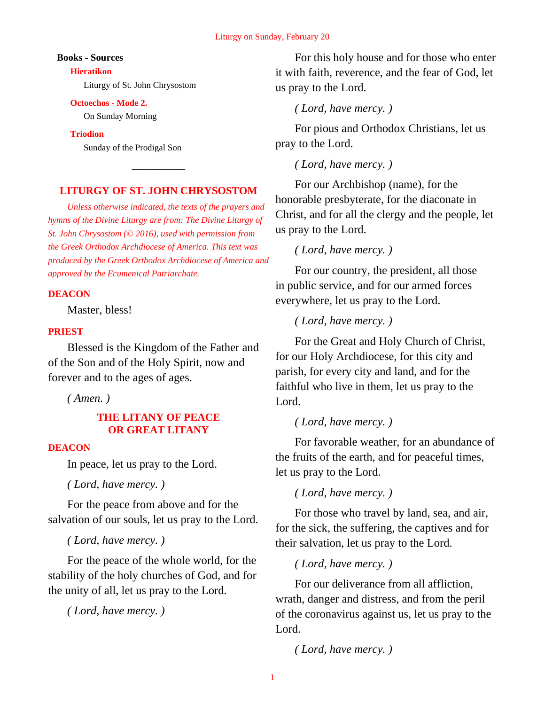#### **Books - Sources**

#### **Hieratikon**

Liturgy of St. John Chrysostom

#### **Octoechos - Mode 2.**

On Sunday Morning

#### **Triodion**

Sunday of the Prodigal Son

# **LITURGY OF ST. JOHN CHRYSOSTOM**

 $\overline{\phantom{a}}$ 

*Unless otherwise indicated, the texts of the prayers and hymns of the Divine Liturgy are from: The Divine Liturgy of St. John Chrysostom (© 2016), used with permission from the Greek Orthodox Archdiocese of America. This text was produced by the Greek Orthodox Archdiocese of America and approved by the Ecumenical Patriarchate.*

# **DEACON**

Master, bless!

#### **PRIEST**

Blessed is the Kingdom of the Father and of the Son and of the Holy Spirit, now and forever and to the ages of ages.

*( Amen. )*

# **THE LITANY OF PEACE OR GREAT LITANY**

#### **DEACON**

In peace, let us pray to the Lord.

*( Lord, have mercy. )*

For the peace from above and for the salvation of our souls, let us pray to the Lord.

*( Lord, have mercy. )*

For the peace of the whole world, for the stability of the holy churches of God, and for the unity of all, let us pray to the Lord.

*( Lord, have mercy. )*

For this holy house and for those who enter it with faith, reverence, and the fear of God, let us pray to the Lord.

*( Lord, have mercy. )*

For pious and Orthodox Christians, let us pray to the Lord.

*( Lord, have mercy. )*

For our Archbishop (name), for the honorable presbyterate, for the diaconate in Christ, and for all the clergy and the people, let us pray to the Lord.

*( Lord, have mercy. )*

For our country, the president, all those in public service, and for our armed forces everywhere, let us pray to the Lord.

*( Lord, have mercy. )*

For the Great and Holy Church of Christ, for our Holy Archdiocese, for this city and parish, for every city and land, and for the faithful who live in them, let us pray to the Lord.

# *( Lord, have mercy. )*

For favorable weather, for an abundance of the fruits of the earth, and for peaceful times, let us pray to the Lord.

*( Lord, have mercy. )*

For those who travel by land, sea, and air, for the sick, the suffering, the captives and for their salvation, let us pray to the Lord.

*( Lord, have mercy. )*

For our deliverance from all affliction, wrath, danger and distress, and from the peril of the coronavirus against us, let us pray to the Lord.

*( Lord, have mercy. )*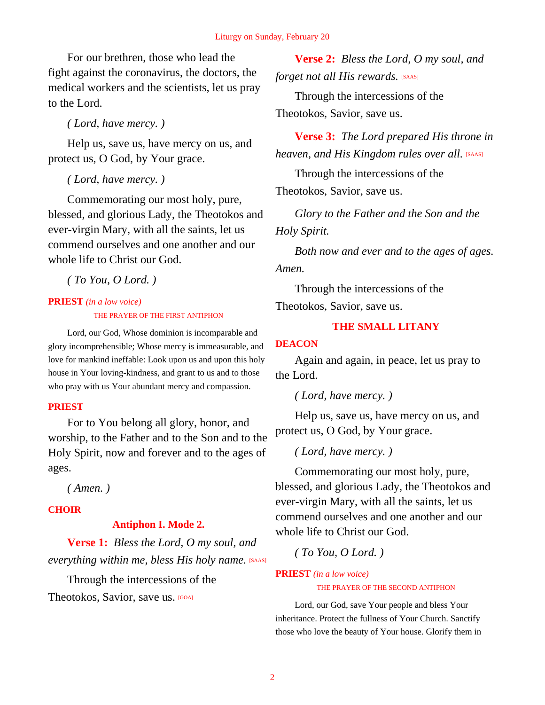For our brethren, those who lead the fight against the coronavirus, the doctors, the medical workers and the scientists, let us pray to the Lord.

*( Lord, have mercy. )*

Help us, save us, have mercy on us, and protect us, O God, by Your grace.

*( Lord, have mercy. )*

Commemorating our most holy, pure, blessed, and glorious Lady, the Theotokos and ever-virgin Mary, with all the saints, let us commend ourselves and one another and our whole life to Christ our God.

*( To You, O Lord. )*

# **PRIEST** *(in a low voice)* THE PRAYER OF THE FIRST ANTIPHON

Lord, our God, Whose dominion is incomparable and glory incomprehensible; Whose mercy is immeasurable, and love for mankind ineffable: Look upon us and upon this holy house in Your loving-kindness, and grant to us and to those who pray with us Your abundant mercy and compassion.

# **PRIEST**

For to You belong all glory, honor, and worship, to the Father and to the Son and to the Holy Spirit, now and forever and to the ages of ages.

*( Amen. )*

# **CHOIR**

# **Antiphon I. Mode 2.**

**Verse 1:** *Bless the Lord, O my soul, and everything within me, bless His holy name.* [SAAS]

Through the intercessions of the Theotokos, Savior, save us. [GOA]

**Verse 2:** *Bless the Lord, O my soul, and forget not all His rewards.* [SAAS]

Through the intercessions of the Theotokos, Savior, save us.

**Verse 3:** *The Lord prepared His throne in heaven, and His Kingdom rules over all.* [SAAS]

Through the intercessions of the Theotokos, Savior, save us.

*Glory to the Father and the Son and the Holy Spirit.*

*Both now and ever and to the ages of ages. Amen.*

Through the intercessions of the Theotokos, Savior, save us.

# **THE SMALL LITANY**

# **DEACON**

Again and again, in peace, let us pray to the Lord.

*( Lord, have mercy. )*

Help us, save us, have mercy on us, and protect us, O God, by Your grace.

*( Lord, have mercy. )*

Commemorating our most holy, pure, blessed, and glorious Lady, the Theotokos and ever-virgin Mary, with all the saints, let us commend ourselves and one another and our whole life to Christ our God.

*( To You, O Lord. )*

# **PRIEST** *(in a low voice)* THE PRAYER OF THE SECOND ANTIPHON

Lord, our God, save Your people and bless Your inheritance. Protect the fullness of Your Church. Sanctify those who love the beauty of Your house. Glorify them in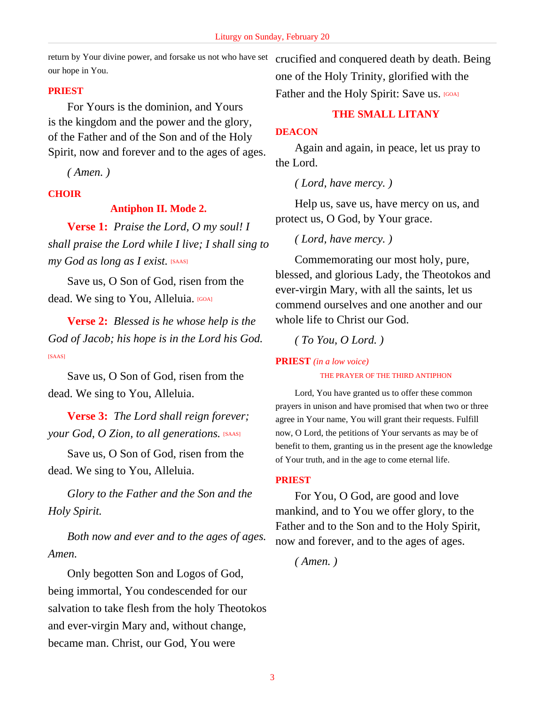return by Your divine power, and forsake us not who have set crucified and conquered death by death. Being our hope in You.

# **PRIEST**

For Yours is the dominion, and Yours is the kingdom and the power and the glory, of the Father and of the Son and of the Holy Spirit, now and forever and to the ages of ages.

*( Amen. )*

# **CHOIR**

# **Antiphon II. Mode 2.**

**Verse 1:** *Praise the Lord, O my soul! I shall praise the Lord while I live; I shall sing to my God as long as I exist.* [SAAS]

Save us, O Son of God, risen from the dead. We sing to You, Alleluia. [GOA]

**Verse 2:** *Blessed is he whose help is the God of Jacob; his hope is in the Lord his God.* [SAAS]

Save us, O Son of God, risen from the dead. We sing to You, Alleluia.

**Verse 3:** *The Lord shall reign forever; your God, O Zion, to all generations.* [SAAS]

Save us, O Son of God, risen from the dead. We sing to You, Alleluia.

*Glory to the Father and the Son and the Holy Spirit.*

*Both now and ever and to the ages of ages. Amen.*

Only begotten Son and Logos of God, being immortal, You condescended for our salvation to take flesh from the holy Theotokos and ever-virgin Mary and, without change, became man. Christ, our God, You were

one of the Holy Trinity, glorified with the Father and the Holy Spirit: Save us. [GOA]

# **THE SMALL LITANY**

# **DEACON**

Again and again, in peace, let us pray to the Lord.

*( Lord, have mercy. )*

Help us, save us, have mercy on us, and protect us, O God, by Your grace.

*( Lord, have mercy. )*

Commemorating our most holy, pure, blessed, and glorious Lady, the Theotokos and ever-virgin Mary, with all the saints, let us commend ourselves and one another and our whole life to Christ our God.

*( To You, O Lord. )*

# **PRIEST** *(in a low voice)*

THE PRAYER OF THE THIRD ANTIPHON

Lord, You have granted us to offer these common prayers in unison and have promised that when two or three agree in Your name, You will grant their requests. Fulfill now, O Lord, the petitions of Your servants as may be of benefit to them, granting us in the present age the knowledge of Your truth, and in the age to come eternal life.

# **PRIEST**

For You, O God, are good and love mankind, and to You we offer glory, to the Father and to the Son and to the Holy Spirit, now and forever, and to the ages of ages.

*( Amen. )*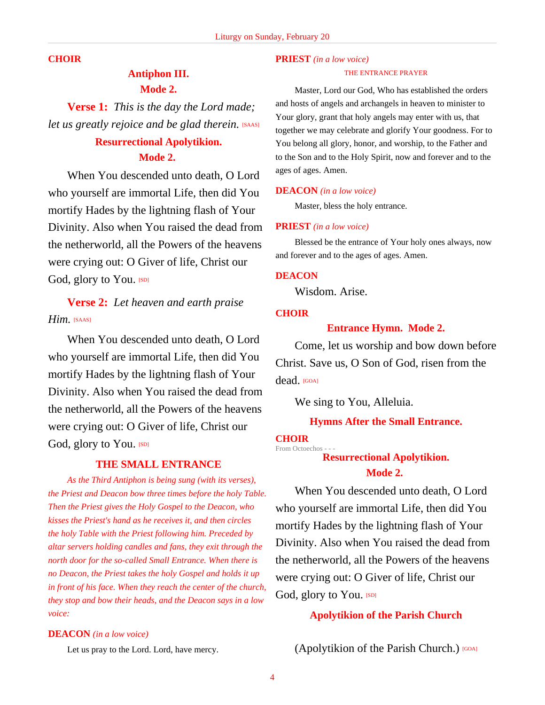#### **CHOIR**

# **Antiphon III. Mode 2.**

**Verse 1:** *This is the day the Lord made; let us greatly rejoice and be glad therein.* [SAAS]

# **Resurrectional Apolytikion. Mode 2.**

When You descended unto death, O Lord who yourself are immortal Life, then did You mortify Hades by the lightning flash of Your Divinity. Also when You raised the dead from the netherworld, all the Powers of the heavens were crying out: O Giver of life, Christ our God, glory to You. [SD]

# **Verse 2:** *Let heaven and earth praise Him.* [SAAS]

When You descended unto death, O Lord who yourself are immortal Life, then did You mortify Hades by the lightning flash of Your Divinity. Also when You raised the dead from the netherworld, all the Powers of the heavens were crying out: O Giver of life, Christ our God, glory to You. [SD]

# **THE SMALL ENTRANCE**

*As the Third Antiphon is being sung (with its verses), the Priest and Deacon bow three times before the holy Table. Then the Priest gives the Holy Gospel to the Deacon, who kisses the Priest's hand as he receives it, and then circles the holy Table with the Priest following him. Preceded by altar servers holding candles and fans, they exit through the north door for the so-called Small Entrance. When there is no Deacon, the Priest takes the holy Gospel and holds it up in front of his face. When they reach the center of the church, they stop and bow their heads, and the Deacon says in a low voice:*

#### **DEACON** *(in a low voice)*

Let us pray to the Lord. Lord, have mercy.

#### **PRIEST** *(in a low voice)*

#### THE ENTRANCE PRAYER

Master, Lord our God, Who has established the orders and hosts of angels and archangels in heaven to minister to Your glory, grant that holy angels may enter with us, that together we may celebrate and glorify Your goodness. For to You belong all glory, honor, and worship, to the Father and to the Son and to the Holy Spirit, now and forever and to the ages of ages. Amen.

#### **DEACON** *(in a low voice)*

Master, bless the holy entrance.

#### **PRIEST** *(in a low voice)*

Blessed be the entrance of Your holy ones always, now and forever and to the ages of ages. Amen.

#### **DEACON**

Wisdom. Arise.

#### **CHOIR**

# **Entrance Hymn. Mode 2.**

Come, let us worship and bow down before Christ. Save us, O Son of God, risen from the dead. [GOA]

We sing to You, Alleluia.

### **Hymns After the Small Entrance.**

#### **CHOIR**

From Octoechos - - - **Resurrectional Apolytikion.**

#### **Mode 2.**

When You descended unto death, O Lord who yourself are immortal Life, then did You mortify Hades by the lightning flash of Your Divinity. Also when You raised the dead from the netherworld, all the Powers of the heavens were crying out: O Giver of life, Christ our God, glory to You. [SD]

#### **Apolytikion of the Parish Church**

(Apolytikion of the Parish Church.) [GOA]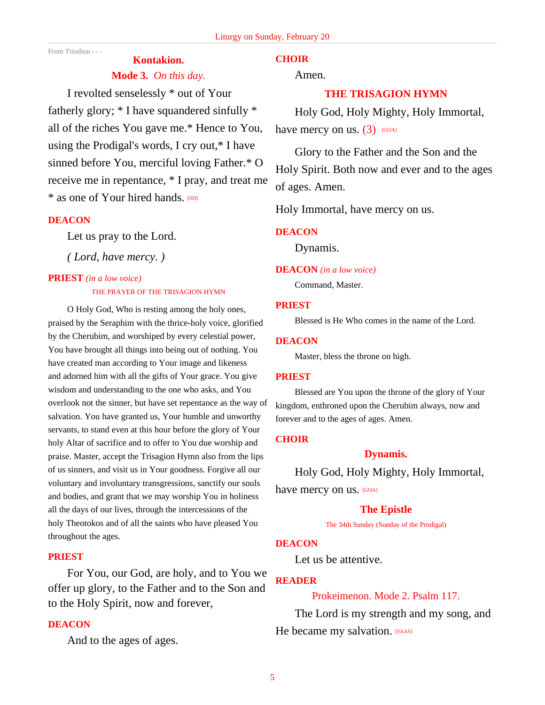From Triodion - - -

# **Kontakion.**

# **Mode 3.** *On this day.*

I revolted senselessly \* out of Your fatherly glory; \* I have squandered sinfully \* all of the riches You gave me.\* Hence to You, using the Prodigal's words, I cry out,\* I have sinned before You, merciful loving Father.\* O receive me in repentance, \* I pray, and treat me \* as one of Your hired hands. [SD]

# **DEACON**

Let us pray to the Lord.

*( Lord, have mercy. )*

#### **PRIEST** *(in a low voice)*

#### THE PRAYER OF THE TRISAGION HYMN

O Holy God, Who is resting among the holy ones, praised by the Seraphim with the thrice-holy voice, glorified by the Cherubim, and worshiped by every celestial power, You have brought all things into being out of nothing. You have created man according to Your image and likeness and adorned him with all the gifts of Your grace. You give wisdom and understanding to the one who asks, and You overlook not the sinner, but have set repentance as the way of salvation. You have granted us, Your humble and unworthy servants, to stand even at this hour before the glory of Your holy Altar of sacrifice and to offer to You due worship and praise. Master, accept the Trisagion Hymn also from the lips of us sinners, and visit us in Your goodness. Forgive all our voluntary and involuntary transgressions, sanctify our souls and bodies, and grant that we may worship You in holiness all the days of our lives, through the intercessions of the holy Theotokos and of all the saints who have pleased You throughout the ages.

#### **PRIEST**

For You, our God, are holy, and to You we offer up glory, to the Father and to the Son and to the Holy Spirit, now and forever,

# **DEACON**

And to the ages of ages.

# **CHOIR**

Amen.

# **THE TRISAGION HYMN**

Holy God, Holy Mighty, Holy Immortal, have mercy on us.  $(3)$  [GOA]

Glory to the Father and the Son and the Holy Spirit. Both now and ever and to the ages of ages. Amen.

Holy Immortal, have mercy on us.

#### **DEACON**

Dynamis.

### **DEACON** *(in a low voice)*

Command, Master.

#### **PRIEST**

Blessed is He Who comes in the name of the Lord.

#### **DEACON**

Master, bless the throne on high.

#### **PRIEST**

Blessed are You upon the throne of the glory of Your kingdom, enthroned upon the Cherubim always, now and forever and to the ages of ages. Amen.

# **CHOIR**

# **Dynamis.**

Holy God, Holy Mighty, Holy Immortal, have mercy on us. [GOA]

# **The Epistle**

The 34th Sunday (Sunday of the Prodigal)

## **DEACON**

Let us be attentive.

# **READER**

# Prokeimenon. Mode 2. Psalm 117.

The Lord is my strength and my song, and He became my salvation. [SAAS]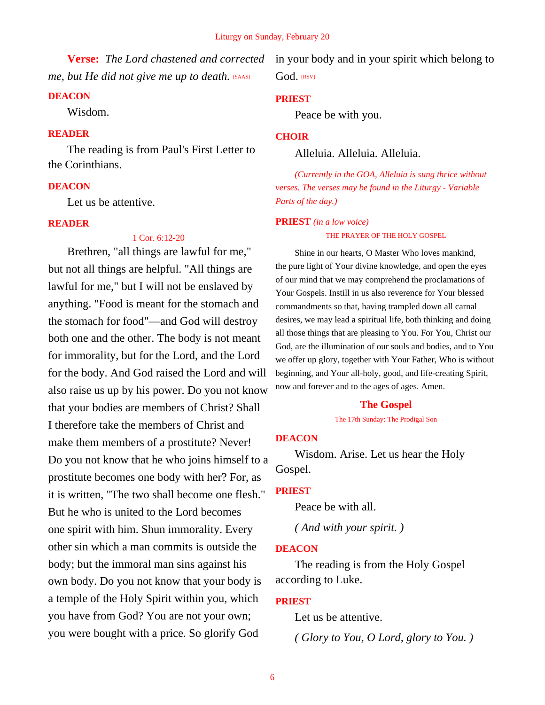**Verse:** *The Lord chastened and corrected me, but He did not give me up to death.* [SAAS]

#### **DEACON**

Wisdom.

# **READER**

The reading is from Paul's First Letter to the Corinthians.

# **DEACON**

Let us be attentive.

#### **READER**

#### 1 Cor. 6:12-20

Brethren, "all things are lawful for me," but not all things are helpful. "All things are lawful for me," but I will not be enslaved by anything. "Food is meant for the stomach and the stomach for food"—and God will destroy both one and the other. The body is not meant for immorality, but for the Lord, and the Lord for the body. And God raised the Lord and will also raise us up by his power. Do you not know that your bodies are members of Christ? Shall I therefore take the members of Christ and make them members of a prostitute? Never! Do you not know that he who joins himself to a prostitute becomes one body with her? For, as it is written, "The two shall become one flesh." But he who is united to the Lord becomes one spirit with him. Shun immorality. Every other sin which a man commits is outside the body; but the immoral man sins against his own body. Do you not know that your body is a temple of the Holy Spirit within you, which you have from God? You are not your own; you were bought with a price. So glorify God

in your body and in your spirit which belong to God. [RSV]

#### **PRIEST**

Peace be with you.

#### **CHOIR**

Alleluia. Alleluia. Alleluia.

*(Currently in the GOA, Alleluia is sung thrice without verses. The verses may be found in the Liturgy - Variable Parts of the day.)*

#### **PRIEST** *(in a low voice)*

THE PRAYER OF THE HOLY GOSPEL

Shine in our hearts, O Master Who loves mankind, the pure light of Your divine knowledge, and open the eyes of our mind that we may comprehend the proclamations of Your Gospels. Instill in us also reverence for Your blessed commandments so that, having trampled down all carnal desires, we may lead a spiritual life, both thinking and doing all those things that are pleasing to You. For You, Christ our God, are the illumination of our souls and bodies, and to You we offer up glory, together with Your Father, Who is without beginning, and Your all-holy, good, and life-creating Spirit, now and forever and to the ages of ages. Amen.

#### **The Gospel**

#### The 17th Sunday: The Prodigal Son

#### **DEACON**

Wisdom. Arise. Let us hear the Holy Gospel.

#### **PRIEST**

Peace be with all.

*( And with your spirit. )*

#### **DEACON**

The reading is from the Holy Gospel according to Luke.

#### **PRIEST**

Let us be attentive.

*( Glory to You, O Lord, glory to You. )*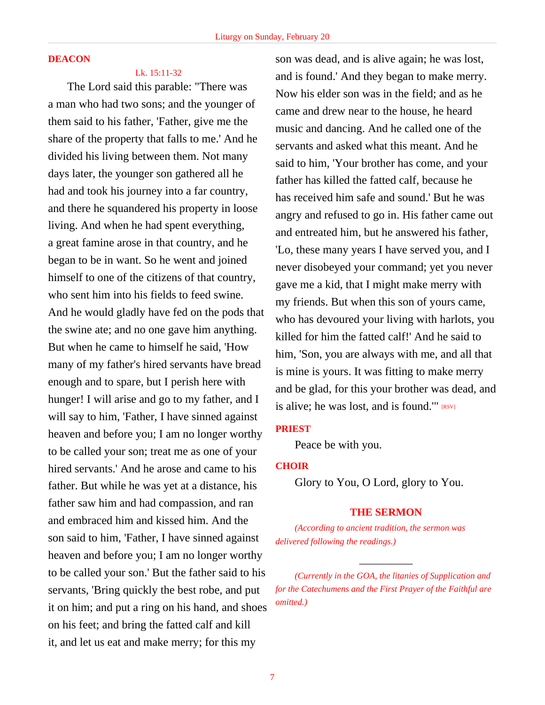### **DEACON**

Lk. 15:11-32

The Lord said this parable: "There was a man who had two sons; and the younger of them said to his father, 'Father, give me the share of the property that falls to me.' And he divided his living between them. Not many days later, the younger son gathered all he had and took his journey into a far country, and there he squandered his property in loose living. And when he had spent everything, a great famine arose in that country, and he began to be in want. So he went and joined himself to one of the citizens of that country, who sent him into his fields to feed swine. And he would gladly have fed on the pods that the swine ate; and no one gave him anything. But when he came to himself he said, 'How many of my father's hired servants have bread enough and to spare, but I perish here with hunger! I will arise and go to my father, and I will say to him, 'Father, I have sinned against heaven and before you; I am no longer worthy to be called your son; treat me as one of your hired servants.' And he arose and came to his father. But while he was yet at a distance, his father saw him and had compassion, and ran and embraced him and kissed him. And the son said to him, 'Father, I have sinned against heaven and before you; I am no longer worthy to be called your son.' But the father said to his servants, 'Bring quickly the best robe, and put it on him; and put a ring on his hand, and shoes on his feet; and bring the fatted calf and kill it, and let us eat and make merry; for this my

son was dead, and is alive again; he was lost, and is found.' And they began to make merry. Now his elder son was in the field; and as he came and drew near to the house, he heard music and dancing. And he called one of the servants and asked what this meant. And he said to him, 'Your brother has come, and your father has killed the fatted calf, because he has received him safe and sound.' But he was angry and refused to go in. His father came out and entreated him, but he answered his father, 'Lo, these many years I have served you, and I never disobeyed your command; yet you never gave me a kid, that I might make merry with my friends. But when this son of yours came, who has devoured your living with harlots, you killed for him the fatted calf!' And he said to him, 'Son, you are always with me, and all that is mine is yours. It was fitting to make merry and be glad, for this your brother was dead, and is alive; he was lost, and is found." [RSV]

# **PRIEST**

Peace be with you.

# **CHOIR**

Glory to You, O Lord, glory to You.

#### **THE SERMON**

*(According to ancient tradition, the sermon was delivered following the readings.)*

 $\overline{\phantom{a}}$ 

*<sup>(</sup>Currently in the GOA, the litanies of Supplication and for the Catechumens and the First Prayer of the Faithful are omitted.)*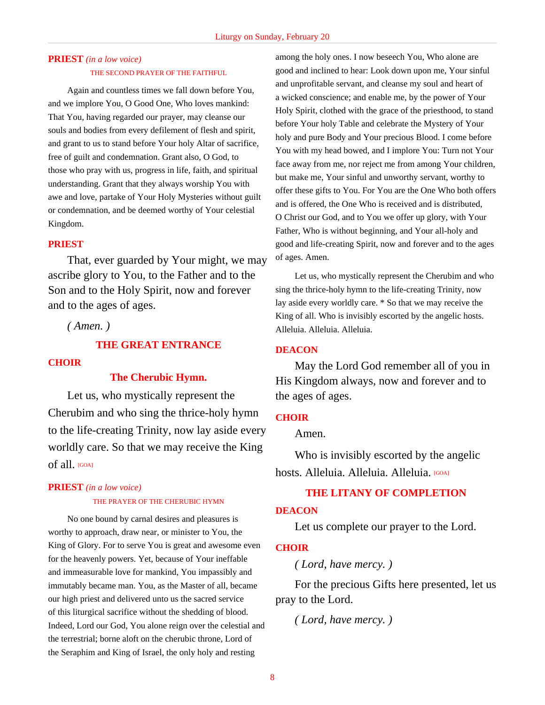# **PRIEST** *(in a low voice)*

#### THE SECOND PRAYER OF THE FAITHFUL

Again and countless times we fall down before You, and we implore You, O Good One, Who loves mankind: That You, having regarded our prayer, may cleanse our souls and bodies from every defilement of flesh and spirit, and grant to us to stand before Your holy Altar of sacrifice, free of guilt and condemnation. Grant also, O God, to those who pray with us, progress in life, faith, and spiritual understanding. Grant that they always worship You with awe and love, partake of Your Holy Mysteries without guilt or condemnation, and be deemed worthy of Your celestial Kingdom.

#### **PRIEST**

That, ever guarded by Your might, we may ascribe glory to You, to the Father and to the Son and to the Holy Spirit, now and forever and to the ages of ages.

*( Amen. )*

# **THE GREAT ENTRANCE**

#### **CHOIR**

#### **The Cherubic Hymn.**

Let us, who mystically represent the Cherubim and who sing the thrice-holy hymn to the life-creating Trinity, now lay aside every worldly care. So that we may receive the King of all. [GOA]

# **PRIEST** *(in a low voice)*

#### THE PRAYER OF THE CHERUBIC HYMN

No one bound by carnal desires and pleasures is worthy to approach, draw near, or minister to You, the King of Glory. For to serve You is great and awesome even for the heavenly powers. Yet, because of Your ineffable and immeasurable love for mankind, You impassibly and immutably became man. You, as the Master of all, became our high priest and delivered unto us the sacred service of this liturgical sacrifice without the shedding of blood. Indeed, Lord our God, You alone reign over the celestial and the terrestrial; borne aloft on the cherubic throne, Lord of the Seraphim and King of Israel, the only holy and resting

among the holy ones. I now beseech You, Who alone are good and inclined to hear: Look down upon me, Your sinful and unprofitable servant, and cleanse my soul and heart of a wicked conscience; and enable me, by the power of Your Holy Spirit, clothed with the grace of the priesthood, to stand before Your holy Table and celebrate the Mystery of Your holy and pure Body and Your precious Blood. I come before You with my head bowed, and I implore You: Turn not Your face away from me, nor reject me from among Your children, but make me, Your sinful and unworthy servant, worthy to offer these gifts to You. For You are the One Who both offers and is offered, the One Who is received and is distributed, O Christ our God, and to You we offer up glory, with Your Father, Who is without beginning, and Your all-holy and good and life-creating Spirit, now and forever and to the ages of ages. Amen.

Let us, who mystically represent the Cherubim and who sing the thrice-holy hymn to the life-creating Trinity, now lay aside every worldly care. \* So that we may receive the King of all. Who is invisibly escorted by the angelic hosts. Alleluia. Alleluia. Alleluia.

#### **DEACON**

May the Lord God remember all of you in His Kingdom always, now and forever and to the ages of ages.

#### **CHOIR**

Amen.

Who is invisibly escorted by the angelic hosts. Alleluia. Alleluia. Alleluia. <sup>[GOA]</sup>

# **THE LITANY OF COMPLETION**

#### **DEACON**

Let us complete our prayer to the Lord.

# **CHOIR**

*( Lord, have mercy. )*

For the precious Gifts here presented, let us pray to the Lord.

*( Lord, have mercy. )*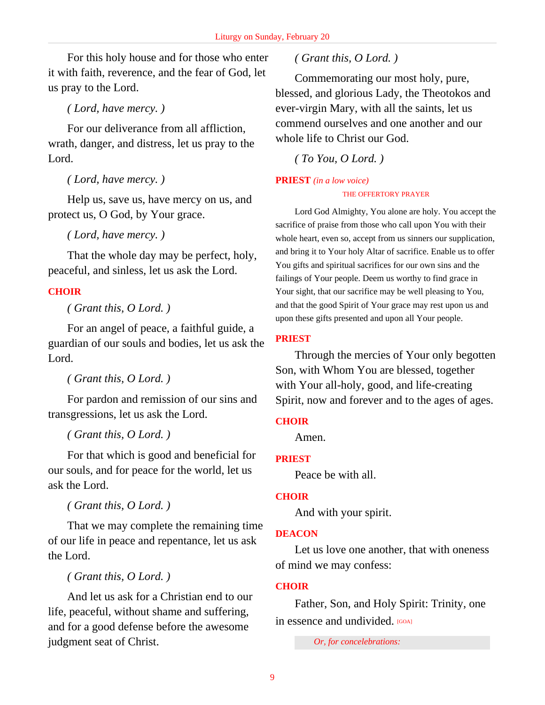For this holy house and for those who enter it with faith, reverence, and the fear of God, let us pray to the Lord.

*( Lord, have mercy. )*

For our deliverance from all affliction, wrath, danger, and distress, let us pray to the Lord.

*( Lord, have mercy. )*

Help us, save us, have mercy on us, and protect us, O God, by Your grace.

*( Lord, have mercy. )*

That the whole day may be perfect, holy, peaceful, and sinless, let us ask the Lord.

# **CHOIR**

*( Grant this, O Lord. )*

For an angel of peace, a faithful guide, a guardian of our souls and bodies, let us ask the Lord.

*( Grant this, O Lord. )*

For pardon and remission of our sins and transgressions, let us ask the Lord.

*( Grant this, O Lord. )*

For that which is good and beneficial for our souls, and for peace for the world, let us ask the Lord.

*( Grant this, O Lord. )*

That we may complete the remaining time of our life in peace and repentance, let us ask the Lord.

*( Grant this, O Lord. )*

And let us ask for a Christian end to our life, peaceful, without shame and suffering, and for a good defense before the awesome judgment seat of Christ.

# *( Grant this, O Lord. )*

Commemorating our most holy, pure, blessed, and glorious Lady, the Theotokos and ever-virgin Mary, with all the saints, let us commend ourselves and one another and our whole life to Christ our God.

*( To You, O Lord. )*

# **PRIEST** *(in a low voice)* THE OFFERTORY PRAYER

Lord God Almighty, You alone are holy. You accept the sacrifice of praise from those who call upon You with their whole heart, even so, accept from us sinners our supplication, and bring it to Your holy Altar of sacrifice. Enable us to offer You gifts and spiritual sacrifices for our own sins and the failings of Your people. Deem us worthy to find grace in Your sight, that our sacrifice may be well pleasing to You, and that the good Spirit of Your grace may rest upon us and upon these gifts presented and upon all Your people.

# **PRIEST**

Through the mercies of Your only begotten Son, with Whom You are blessed, together with Your all-holy, good, and life-creating Spirit, now and forever and to the ages of ages.

# **CHOIR**

Amen.

# **PRIEST**

Peace be with all.

# **CHOIR**

And with your spirit.

# **DEACON**

Let us love one another, that with oneness of mind we may confess:

# **CHOIR**

Father, Son, and Holy Spirit: Trinity, one in essence and undivided. [GOA]

*Or, for concelebrations:*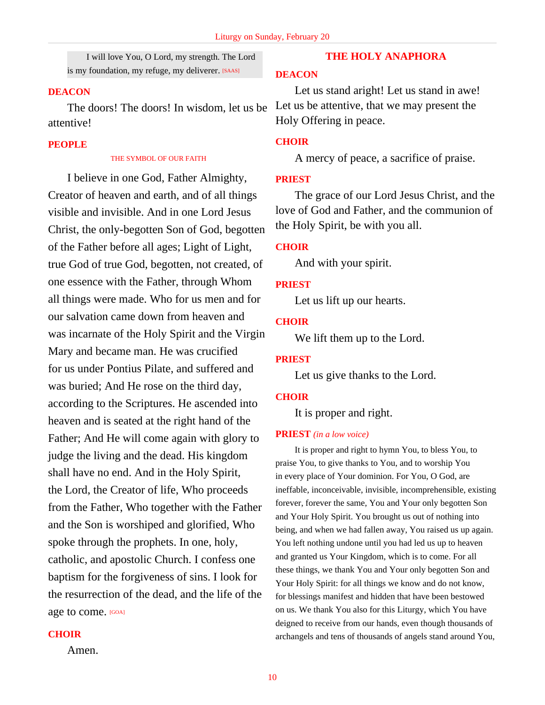I will love You, O Lord, my strength. The Lord is my foundation, my refuge, my deliverer. [SAAS]

#### **DEACON**

The doors! The doors! In wisdom, let us be attentive!

# **PEOPLE**

#### THE SYMBOL OF OUR FAITH

I believe in one God, Father Almighty, Creator of heaven and earth, and of all things visible and invisible. And in one Lord Jesus Christ, the only-begotten Son of God, begotten of the Father before all ages; Light of Light, true God of true God, begotten, not created, of one essence with the Father, through Whom all things were made. Who for us men and for our salvation came down from heaven and was incarnate of the Holy Spirit and the Virgin Mary and became man. He was crucified for us under Pontius Pilate, and suffered and was buried; And He rose on the third day, according to the Scriptures. He ascended into heaven and is seated at the right hand of the Father; And He will come again with glory to judge the living and the dead. His kingdom shall have no end. And in the Holy Spirit, the Lord, the Creator of life, Who proceeds from the Father, Who together with the Father and the Son is worshiped and glorified, Who spoke through the prophets. In one, holy, catholic, and apostolic Church. I confess one baptism for the forgiveness of sins. I look for the resurrection of the dead, and the life of the age to come. [GOA]

#### **CHOIR**

Amen.

# **THE HOLY ANAPHORA**

# **DEACON**

Let us stand aright! Let us stand in awe! Let us be attentive, that we may present the Holy Offering in peace.

### **CHOIR**

A mercy of peace, a sacrifice of praise.

# **PRIEST**

The grace of our Lord Jesus Christ, and the love of God and Father, and the communion of the Holy Spirit, be with you all.

#### **CHOIR**

And with your spirit.

#### **PRIEST**

Let us lift up our hearts.

#### **CHOIR**

We lift them up to the Lord.

#### **PRIEST**

Let us give thanks to the Lord.

#### **CHOIR**

It is proper and right.

#### **PRIEST** *(in a low voice)*

It is proper and right to hymn You, to bless You, to praise You, to give thanks to You, and to worship You in every place of Your dominion. For You, O God, are ineffable, inconceivable, invisible, incomprehensible, existing forever, forever the same, You and Your only begotten Son and Your Holy Spirit. You brought us out of nothing into being, and when we had fallen away, You raised us up again. You left nothing undone until you had led us up to heaven and granted us Your Kingdom, which is to come. For all these things, we thank You and Your only begotten Son and Your Holy Spirit: for all things we know and do not know, for blessings manifest and hidden that have been bestowed on us. We thank You also for this Liturgy, which You have deigned to receive from our hands, even though thousands of archangels and tens of thousands of angels stand around You,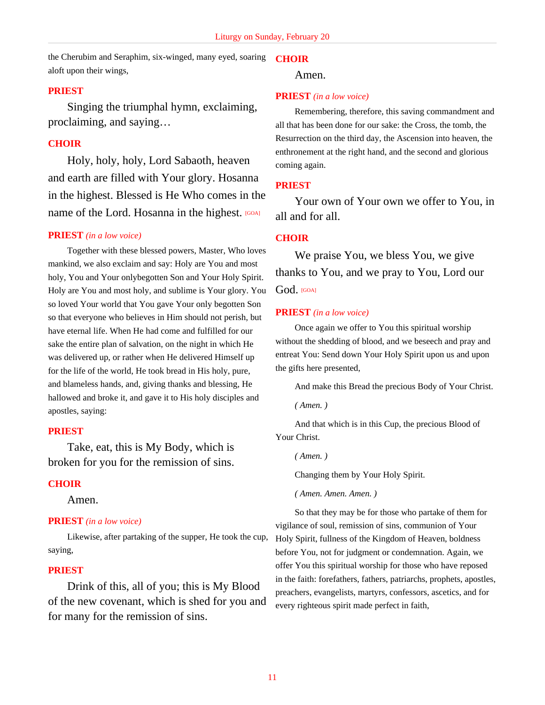the Cherubim and Seraphim, six-winged, many eyed, soaring **CHOIR** aloft upon their wings,

#### **PRIEST**

Singing the triumphal hymn, exclaiming, proclaiming, and saying…

### **CHOIR**

Holy, holy, holy, Lord Sabaoth, heaven and earth are filled with Your glory. Hosanna in the highest. Blessed is He Who comes in the name of the Lord. Hosanna in the highest. **[GOA]** 

#### **PRIEST** *(in a low voice)*

Together with these blessed powers, Master, Who loves mankind, we also exclaim and say: Holy are You and most holy, You and Your onlybegotten Son and Your Holy Spirit. Holy are You and most holy, and sublime is Your glory. You so loved Your world that You gave Your only begotten Son so that everyone who believes in Him should not perish, but have eternal life. When He had come and fulfilled for our sake the entire plan of salvation, on the night in which He was delivered up, or rather when He delivered Himself up for the life of the world, He took bread in His holy, pure, and blameless hands, and, giving thanks and blessing, He hallowed and broke it, and gave it to His holy disciples and apostles, saying:

### **PRIEST**

Take, eat, this is My Body, which is broken for you for the remission of sins.

#### **CHOIR**

Amen.

#### **PRIEST** *(in a low voice)*

Likewise, after partaking of the supper, He took the cup, saying,

#### **PRIEST**

Drink of this, all of you; this is My Blood of the new covenant, which is shed for you and for many for the remission of sins.

Amen.

#### **PRIEST** *(in a low voice)*

Remembering, therefore, this saving commandment and all that has been done for our sake: the Cross, the tomb, the Resurrection on the third day, the Ascension into heaven, the enthronement at the right hand, and the second and glorious coming again.

#### **PRIEST**

Your own of Your own we offer to You, in all and for all.

#### **CHOIR**

We praise You, we bless You, we give thanks to You, and we pray to You, Lord our God. [GOA]

#### **PRIEST** *(in a low voice)*

Once again we offer to You this spiritual worship without the shedding of blood, and we beseech and pray and entreat You: Send down Your Holy Spirit upon us and upon the gifts here presented,

And make this Bread the precious Body of Your Christ.

*( Amen. )*

And that which is in this Cup, the precious Blood of Your Christ.

*( Amen. )*

Changing them by Your Holy Spirit.

*( Amen. Amen. Amen. )*

So that they may be for those who partake of them for vigilance of soul, remission of sins, communion of Your Holy Spirit, fullness of the Kingdom of Heaven, boldness before You, not for judgment or condemnation. Again, we offer You this spiritual worship for those who have reposed in the faith: forefathers, fathers, patriarchs, prophets, apostles, preachers, evangelists, martyrs, confessors, ascetics, and for every righteous spirit made perfect in faith,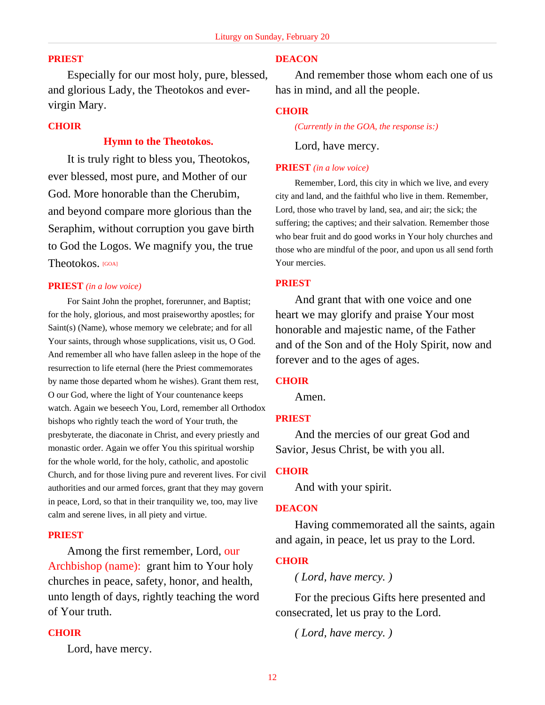# **PRIEST**

Especially for our most holy, pure, blessed, and glorious Lady, the Theotokos and evervirgin Mary.

#### **CHOIR**

# **Hymn to the Theotokos.**

It is truly right to bless you, Theotokos, ever blessed, most pure, and Mother of our God. More honorable than the Cherubim, and beyond compare more glorious than the Seraphim, without corruption you gave birth to God the Logos. We magnify you, the true Theotokos. [GOA]

#### **PRIEST** *(in a low voice)*

For Saint John the prophet, forerunner, and Baptist; for the holy, glorious, and most praiseworthy apostles; for Saint(s) (Name), whose memory we celebrate; and for all Your saints, through whose supplications, visit us, O God. And remember all who have fallen asleep in the hope of the resurrection to life eternal (here the Priest commemorates by name those departed whom he wishes). Grant them rest, O our God, where the light of Your countenance keeps watch. Again we beseech You, Lord, remember all Orthodox bishops who rightly teach the word of Your truth, the presbyterate, the diaconate in Christ, and every priestly and monastic order. Again we offer You this spiritual worship for the whole world, for the holy, catholic, and apostolic Church, and for those living pure and reverent lives. For civil authorities and our armed forces, grant that they may govern in peace, Lord, so that in their tranquility we, too, may live calm and serene lives, in all piety and virtue.

# **PRIEST**

Among the first remember, Lord, our Archbishop (name): grant him to Your holy churches in peace, safety, honor, and health, unto length of days, rightly teaching the word of Your truth.

#### **CHOIR**

Lord, have mercy.

# **DEACON**

And remember those whom each one of us has in mind, and all the people.

#### **CHOIR**

*(Currently in the GOA, the response is:)*

Lord, have mercy.

#### **PRIEST** *(in a low voice)*

Remember, Lord, this city in which we live, and every city and land, and the faithful who live in them. Remember, Lord, those who travel by land, sea, and air; the sick; the suffering; the captives; and their salvation. Remember those who bear fruit and do good works in Your holy churches and those who are mindful of the poor, and upon us all send forth Your mercies.

#### **PRIEST**

And grant that with one voice and one heart we may glorify and praise Your most honorable and majestic name, of the Father and of the Son and of the Holy Spirit, now and forever and to the ages of ages.

#### **CHOIR**

Amen.

#### **PRIEST**

And the mercies of our great God and Savior, Jesus Christ, be with you all.

# **CHOIR**

And with your spirit.

#### **DEACON**

Having commemorated all the saints, again and again, in peace, let us pray to the Lord.

#### **CHOIR**

*( Lord, have mercy. )*

For the precious Gifts here presented and consecrated, let us pray to the Lord.

*( Lord, have mercy. )*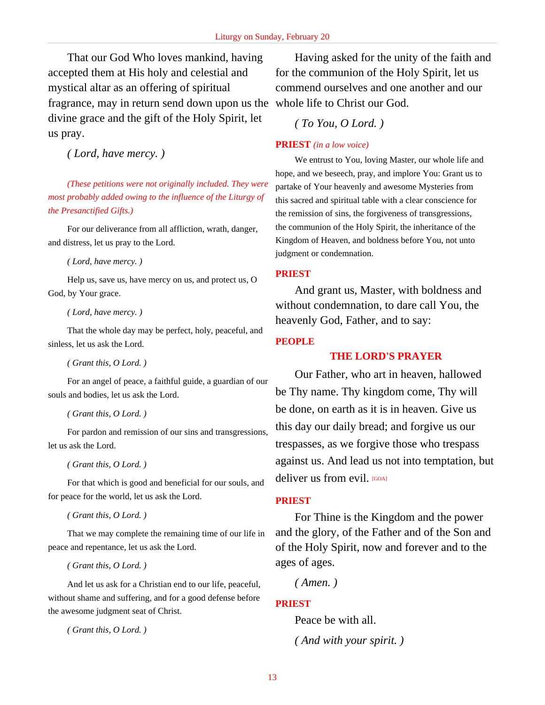That our God Who loves mankind, having accepted them at His holy and celestial and mystical altar as an offering of spiritual fragrance, may in return send down upon us the whole life to Christ our God. divine grace and the gift of the Holy Spirit, let us pray.

*( Lord, have mercy. )*

*(These petitions were not originally included. They were most probably added owing to the influence of the Liturgy of the Presanctified Gifts.)*

For our deliverance from all affliction, wrath, danger, and distress, let us pray to the Lord.

*( Lord, have mercy. )*

Help us, save us, have mercy on us, and protect us, O God, by Your grace.

*( Lord, have mercy. )*

That the whole day may be perfect, holy, peaceful, and sinless, let us ask the Lord.

*( Grant this, O Lord. )*

For an angel of peace, a faithful guide, a guardian of our souls and bodies, let us ask the Lord.

*( Grant this, O Lord. )*

For pardon and remission of our sins and transgressions, let us ask the Lord.

*( Grant this, O Lord. )*

For that which is good and beneficial for our souls, and for peace for the world, let us ask the Lord.

*( Grant this, O Lord. )*

That we may complete the remaining time of our life in peace and repentance, let us ask the Lord.

*( Grant this, O Lord. )*

And let us ask for a Christian end to our life, peaceful, without shame and suffering, and for a good defense before the awesome judgment seat of Christ.

*( Grant this, O Lord. )*

Having asked for the unity of the faith and for the communion of the Holy Spirit, let us commend ourselves and one another and our

*( To You, O Lord. )*

# **PRIEST** *(in a low voice)*

We entrust to You, loving Master, our whole life and hope, and we beseech, pray, and implore You: Grant us to partake of Your heavenly and awesome Mysteries from this sacred and spiritual table with a clear conscience for the remission of sins, the forgiveness of transgressions, the communion of the Holy Spirit, the inheritance of the Kingdom of Heaven, and boldness before You, not unto judgment or condemnation.

**PRIEST**

And grant us, Master, with boldness and without condemnation, to dare call You, the heavenly God, Father, and to say:

# **PEOPLE**

# **THE LORD'S PRAYER**

Our Father, who art in heaven, hallowed be Thy name. Thy kingdom come, Thy will be done, on earth as it is in heaven. Give us this day our daily bread; and forgive us our trespasses, as we forgive those who trespass against us. And lead us not into temptation, but deliver us from evil. [GOA]

# **PRIEST**

For Thine is the Kingdom and the power and the glory, of the Father and of the Son and of the Holy Spirit, now and forever and to the ages of ages.

*( Amen. )*

# **PRIEST**

Peace be with all.

*( And with your spirit. )*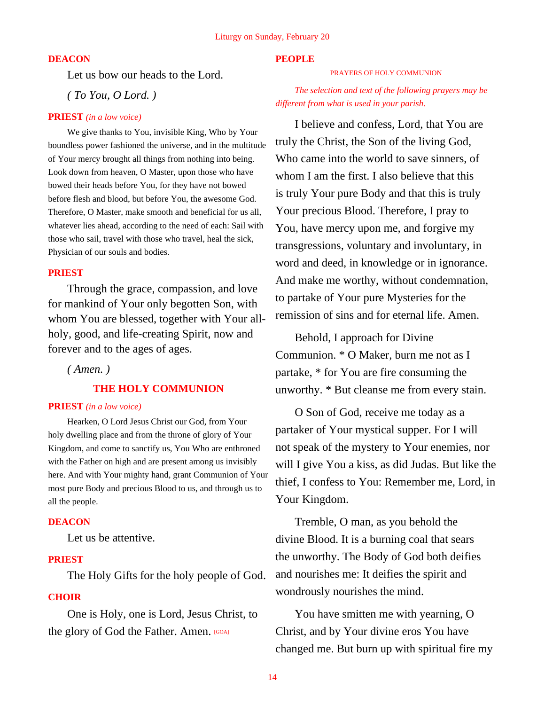# **DEACON**

Let us bow our heads to the Lord.

*( To You, O Lord. )*

#### **PRIEST** *(in a low voice)*

We give thanks to You, invisible King, Who by Your boundless power fashioned the universe, and in the multitude of Your mercy brought all things from nothing into being. Look down from heaven, O Master, upon those who have bowed their heads before You, for they have not bowed before flesh and blood, but before You, the awesome God. Therefore, O Master, make smooth and beneficial for us all, whatever lies ahead, according to the need of each: Sail with those who sail, travel with those who travel, heal the sick, Physician of our souls and bodies.

#### **PRIEST**

Through the grace, compassion, and love for mankind of Your only begotten Son, with whom You are blessed, together with Your allholy, good, and life-creating Spirit, now and forever and to the ages of ages.

# *( Amen. )*

#### **THE HOLY COMMUNION**

### **PRIEST** *(in a low voice)*

Hearken, O Lord Jesus Christ our God, from Your holy dwelling place and from the throne of glory of Your Kingdom, and come to sanctify us, You Who are enthroned with the Father on high and are present among us invisibly here. And with Your mighty hand, grant Communion of Your most pure Body and precious Blood to us, and through us to all the people.

#### **DEACON**

Let us be attentive.

# **PRIEST**

The Holy Gifts for the holy people of God.

### **CHOIR**

One is Holy, one is Lord, Jesus Christ, to the glory of God the Father. Amen. [GOA]

# **PEOPLE**

PRAYERS OF HOLY COMMUNION

*The selection and text of the following prayers may be different from what is used in your parish.*

I believe and confess, Lord, that You are truly the Christ, the Son of the living God, Who came into the world to save sinners, of whom I am the first. I also believe that this is truly Your pure Body and that this is truly Your precious Blood. Therefore, I pray to You, have mercy upon me, and forgive my transgressions, voluntary and involuntary, in word and deed, in knowledge or in ignorance. And make me worthy, without condemnation, to partake of Your pure Mysteries for the remission of sins and for eternal life. Amen.

Behold, I approach for Divine Communion. \* O Maker, burn me not as I partake, \* for You are fire consuming the unworthy. \* But cleanse me from every stain.

O Son of God, receive me today as a partaker of Your mystical supper. For I will not speak of the mystery to Your enemies, nor will I give You a kiss, as did Judas. But like the thief, I confess to You: Remember me, Lord, in Your Kingdom.

Tremble, O man, as you behold the divine Blood. It is a burning coal that sears the unworthy. The Body of God both deifies and nourishes me: It deifies the spirit and wondrously nourishes the mind.

You have smitten me with yearning, O Christ, and by Your divine eros You have changed me. But burn up with spiritual fire my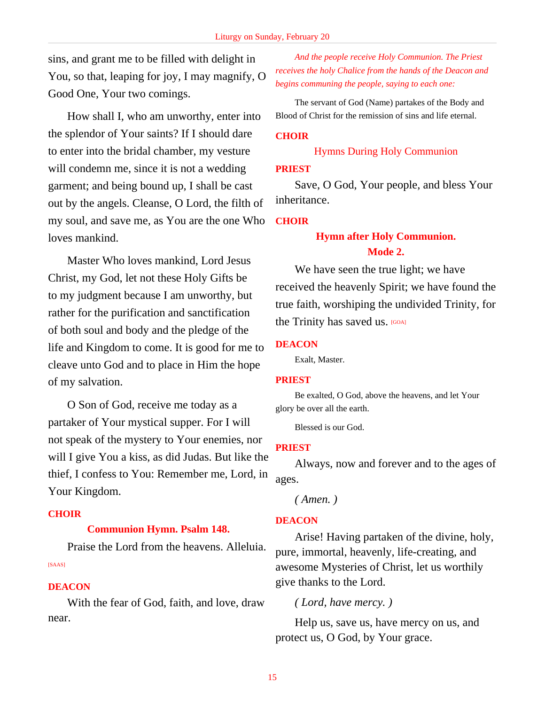sins, and grant me to be filled with delight in You, so that, leaping for joy, I may magnify, O Good One, Your two comings.

How shall I, who am unworthy, enter into the splendor of Your saints? If I should dare to enter into the bridal chamber, my vesture will condemn me, since it is not a wedding garment; and being bound up, I shall be cast out by the angels. Cleanse, O Lord, the filth of my soul, and save me, as You are the one Who loves mankind.

Master Who loves mankind, Lord Jesus Christ, my God, let not these Holy Gifts be to my judgment because I am unworthy, but rather for the purification and sanctification of both soul and body and the pledge of the life and Kingdom to come. It is good for me to cleave unto God and to place in Him the hope of my salvation.

O Son of God, receive me today as a partaker of Your mystical supper. For I will not speak of the mystery to Your enemies, nor will I give You a kiss, as did Judas. But like the thief, I confess to You: Remember me, Lord, in Your Kingdom.

# **CHOIR**

# **Communion Hymn. Psalm 148.**

Praise the Lord from the heavens. Alleluia. [SAAS]

# **DEACON**

With the fear of God, faith, and love, draw near.

*And the people receive Holy Communion. The Priest receives the holy Chalice from the hands of the Deacon and begins communing the people, saying to each one:*

The servant of God (Name) partakes of the Body and Blood of Christ for the remission of sins and life eternal.

# **CHOIR**

# Hymns During Holy Communion

### **PRIEST**

Save, O God, Your people, and bless Your inheritance.

# **CHOIR**

# **Hymn after Holy Communion. Mode 2.**

We have seen the true light; we have received the heavenly Spirit; we have found the true faith, worshiping the undivided Trinity, for the Trinity has saved us. [GOA]

#### **DEACON**

Exalt, Master.

# **PRIEST**

Be exalted, O God, above the heavens, and let Your glory be over all the earth.

Blessed is our God.

# **PRIEST**

Always, now and forever and to the ages of ages.

*( Amen. )*

# **DEACON**

Arise! Having partaken of the divine, holy, pure, immortal, heavenly, life-creating, and awesome Mysteries of Christ, let us worthily give thanks to the Lord.

# *( Lord, have mercy. )*

Help us, save us, have mercy on us, and protect us, O God, by Your grace.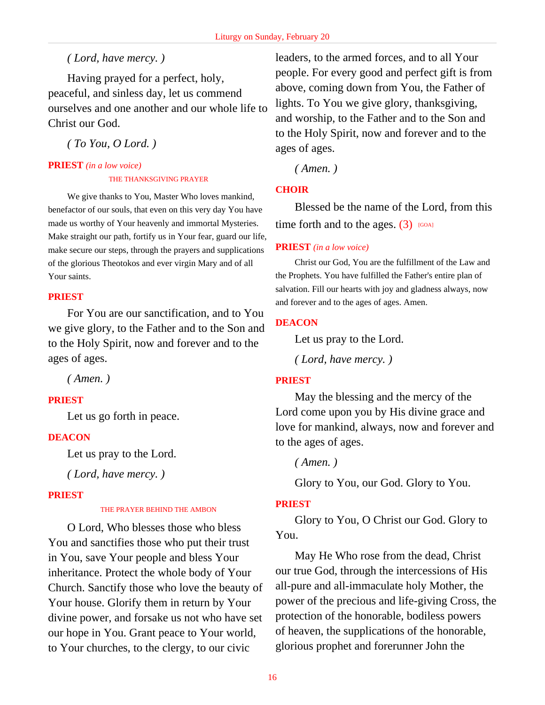# *( Lord, have mercy. )*

Having prayed for a perfect, holy, peaceful, and sinless day, let us commend ourselves and one another and our whole life to Christ our God.

*( To You, O Lord. )*

# **PRIEST** *(in a low voice)*

#### THE THANKSGIVING PRAYER

We give thanks to You, Master Who loves mankind, benefactor of our souls, that even on this very day You have made us worthy of Your heavenly and immortal Mysteries. Make straight our path, fortify us in Your fear, guard our life, make secure our steps, through the prayers and supplications of the glorious Theotokos and ever virgin Mary and of all Your saints.

# **PRIEST**

For You are our sanctification, and to You we give glory, to the Father and to the Son and to the Holy Spirit, now and forever and to the ages of ages.

*( Amen. )*

# **PRIEST**

Let us go forth in peace.

# **DEACON**

Let us pray to the Lord.

*( Lord, have mercy. )*

# **PRIEST**

#### THE PRAYER BEHIND THE AMBON

O Lord, Who blesses those who bless You and sanctifies those who put their trust in You, save Your people and bless Your inheritance. Protect the whole body of Your Church. Sanctify those who love the beauty of Your house. Glorify them in return by Your divine power, and forsake us not who have set our hope in You. Grant peace to Your world, to Your churches, to the clergy, to our civic

leaders, to the armed forces, and to all Your people. For every good and perfect gift is from above, coming down from You, the Father of lights. To You we give glory, thanksgiving, and worship, to the Father and to the Son and to the Holy Spirit, now and forever and to the ages of ages.

*( Amen. )*

# **CHOIR**

Blessed be the name of the Lord, from this time forth and to the ages.  $(3)$  [GOA]

# **PRIEST** *(in a low voice)*

Christ our God, You are the fulfillment of the Law and the Prophets. You have fulfilled the Father's entire plan of salvation. Fill our hearts with joy and gladness always, now and forever and to the ages of ages. Amen.

# **DEACON**

Let us pray to the Lord.

*( Lord, have mercy. )*

# **PRIEST**

May the blessing and the mercy of the Lord come upon you by His divine grace and love for mankind, always, now and forever and to the ages of ages.

*( Amen. )*

Glory to You, our God. Glory to You.

# **PRIEST**

Glory to You, O Christ our God. Glory to You.

May He Who rose from the dead, Christ our true God, through the intercessions of His all-pure and all-immaculate holy Mother, the power of the precious and life-giving Cross, the protection of the honorable, bodiless powers of heaven, the supplications of the honorable, glorious prophet and forerunner John the